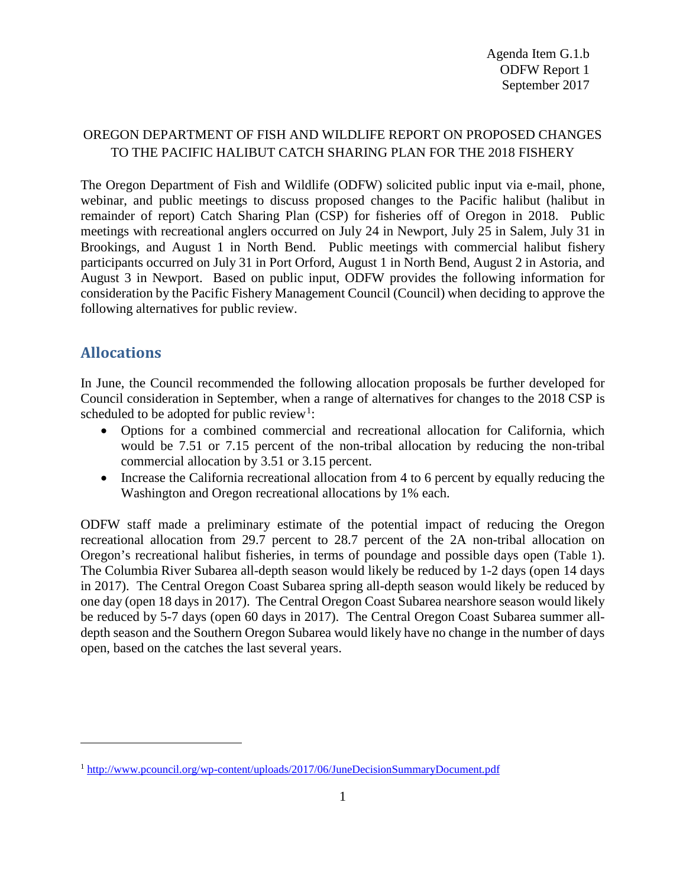# OREGON DEPARTMENT OF FISH AND WILDLIFE REPORT ON PROPOSED CHANGES TO THE PACIFIC HALIBUT CATCH SHARING PLAN FOR THE 2018 FISHERY

The Oregon Department of Fish and Wildlife (ODFW) solicited public input via e-mail, phone, webinar, and public meetings to discuss proposed changes to the Pacific halibut (halibut in remainder of report) Catch Sharing Plan (CSP) for fisheries off of Oregon in 2018. Public meetings with recreational anglers occurred on July 24 in Newport, July 25 in Salem, July 31 in Brookings, and August 1 in North Bend. Public meetings with commercial halibut fishery participants occurred on July 31 in Port Orford, August 1 in North Bend, August 2 in Astoria, and August 3 in Newport. Based on public input, ODFW provides the following information for consideration by the Pacific Fishery Management Council (Council) when deciding to approve the following alternatives for public review.

# **Allocations**

 $\overline{a}$ 

In June, the Council recommended the following allocation proposals be further developed for Council consideration in September, when a range of alternatives for changes to the 2018 CSP is scheduled to be adopted for public review<sup>[1](#page-0-0)</sup>:

- Options for a combined commercial and recreational allocation for California, which would be 7.51 or 7.15 percent of the non-tribal allocation by reducing the non-tribal commercial allocation by 3.51 or 3.15 percent.
- Increase the California recreational allocation from 4 to 6 percent by equally reducing the Washington and Oregon recreational allocations by 1% each.

ODFW staff made a preliminary estimate of the potential impact of reducing the Oregon recreational allocation from 29.7 percent to 28.7 percent of the 2A non-tribal allocation on Oregon's recreational halibut fisheries, in terms of poundage and possible days open [\(Table 1\)](#page-1-0). The Columbia River Subarea all-depth season would likely be reduced by 1-2 days (open 14 days in 2017). The Central Oregon Coast Subarea spring all-depth season would likely be reduced by one day (open 18 days in 2017). The Central Oregon Coast Subarea nearshore season would likely be reduced by 5-7 days (open 60 days in 2017). The Central Oregon Coast Subarea summer alldepth season and the Southern Oregon Subarea would likely have no change in the number of days open, based on the catches the last several years.

<span id="page-0-0"></span><sup>1</sup> <http://www.pcouncil.org/wp-content/uploads/2017/06/JuneDecisionSummaryDocument.pdf>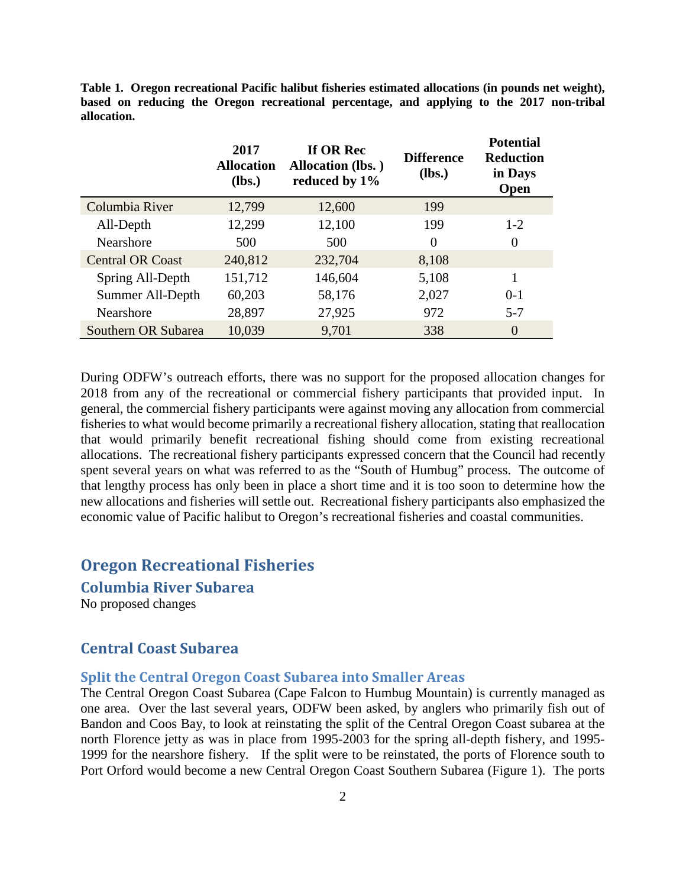<span id="page-1-0"></span>**Table 1. Oregon recreational Pacific halibut fisheries estimated allocations (in pounds net weight), based on reducing the Oregon recreational percentage, and applying to the 2017 non-tribal allocation.** 

|                         | 2017<br><b>Allocation</b><br>$(lbs.)$ | If OR Rec<br><b>Allocation (lbs.)</b><br>reduced by 1% | <b>Difference</b><br>$(lbs.)$ | <b>Potential</b><br><b>Reduction</b><br>in Days<br><b>Open</b> |
|-------------------------|---------------------------------------|--------------------------------------------------------|-------------------------------|----------------------------------------------------------------|
| Columbia River          | 12,799                                | 12,600                                                 | 199                           |                                                                |
| All-Depth               | 12,299                                | 12,100                                                 | 199                           | $1 - 2$                                                        |
| <b>Nearshore</b>        | 500                                   | 500                                                    | 0                             | 0                                                              |
| <b>Central OR Coast</b> | 240,812                               | 232,704                                                | 8,108                         |                                                                |
| Spring All-Depth        | 151,712                               | 146,604                                                | 5,108                         | 1                                                              |
| Summer All-Depth        | 60,203                                | 58,176                                                 | 2,027                         | $0-1$                                                          |
| Nearshore               | 28,897                                | 27,925                                                 | 972                           | $5 - 7$                                                        |
| Southern OR Subarea     | 10,039                                | 9,701                                                  | 338                           | $\overline{0}$                                                 |

During ODFW's outreach efforts, there was no support for the proposed allocation changes for 2018 from any of the recreational or commercial fishery participants that provided input. In general, the commercial fishery participants were against moving any allocation from commercial fisheries to what would become primarily a recreational fishery allocation, stating that reallocation that would primarily benefit recreational fishing should come from existing recreational allocations. The recreational fishery participants expressed concern that the Council had recently spent several years on what was referred to as the "South of Humbug" process. The outcome of that lengthy process has only been in place a short time and it is too soon to determine how the new allocations and fisheries will settle out. Recreational fishery participants also emphasized the economic value of Pacific halibut to Oregon's recreational fisheries and coastal communities.

## **Oregon Recreational Fisheries**

**Columbia River Subarea**

No proposed changes

## **Central Coast Subarea**

### **Split the Central Oregon Coast Subarea into Smaller Areas**

The Central Oregon Coast Subarea (Cape Falcon to Humbug Mountain) is currently managed as one area. Over the last several years, ODFW been asked, by anglers who primarily fish out of Bandon and Coos Bay, to look at reinstating the split of the Central Oregon Coast subarea at the north Florence jetty as was in place from 1995-2003 for the spring all-depth fishery, and 1995- 1999 for the nearshore fishery. If the split were to be reinstated, the ports of Florence south to Port Orford would become a new Central Oregon Coast Southern Subarea [\(Figure 1\)](#page-2-0). The ports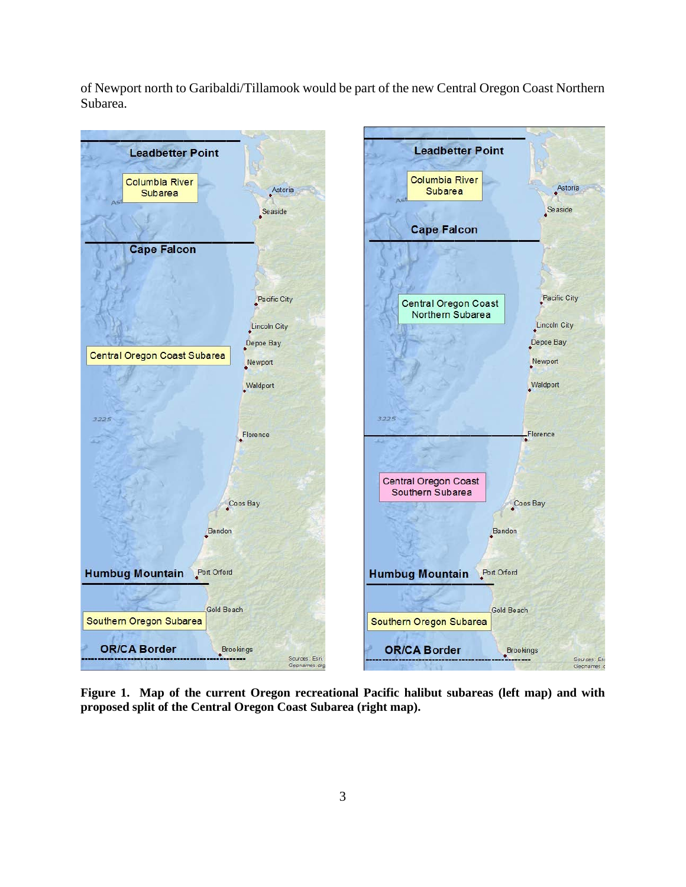of Newport north to Garibaldi/Tillamook would be part of the new Central Oregon Coast Northern Subarea.



<span id="page-2-0"></span>**Figure 1. Map of the current Oregon recreational Pacific halibut subareas (left map) and with proposed split of the Central Oregon Coast Subarea (right map).**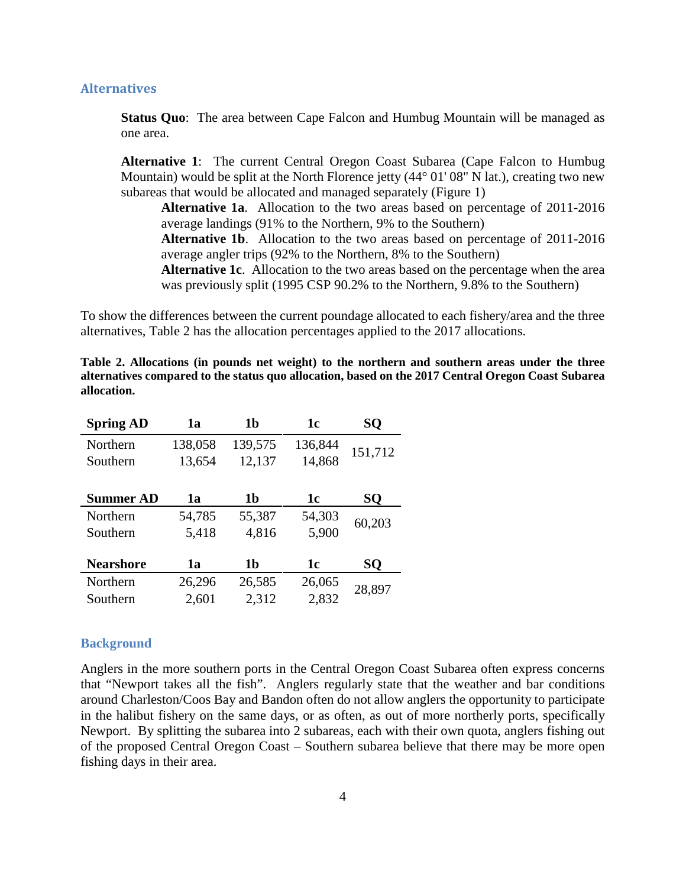### **Alternatives**

**Status Ouo**: The area between Cape Falcon and Humbug Mountain will be managed as one area.

**Alternative 1**: The current Central Oregon Coast Subarea (Cape Falcon to Humbug Mountain) would be split at the North Florence jetty (44<sup>o</sup> 01' 08" N lat.), creating two new subareas that would be allocated and managed separately [\(Figure 1\)](#page-2-0)

**Alternative 1a**. Allocation to the two areas based on percentage of 2011-2016 average landings (91% to the Northern, 9% to the Southern)

**Alternative 1b**. Allocation to the two areas based on percentage of 2011-2016 average angler trips (92% to the Northern, 8% to the Southern)

**Alternative 1c**. Allocation to the two areas based on the percentage when the area was previously split (1995 CSP 90.2% to the Northern, 9.8% to the Southern)

To show the differences between the current poundage allocated to each fishery/area and the three alternatives, [Table 2](#page-3-0) has the allocation percentages applied to the 2017 allocations.

<span id="page-3-0"></span>**Table 2. Allocations (in pounds net weight) to the northern and southern areas under the three alternatives compared to the status quo allocation, based on the 2017 Central Oregon Coast Subarea allocation.**

| <b>Spring AD</b> | 1a      | 1 <sub>b</sub> | 1c      | SQ      |
|------------------|---------|----------------|---------|---------|
| Northern         | 138,058 | 139,575        | 136,844 | 151,712 |
| Southern         | 13,654  | 12,137         | 14,868  |         |
|                  |         |                |         |         |
| <b>Summer AD</b> | 1a      | 1b             | 1c      | SQ      |
| Northern         | 54,785  | 55,387         | 54,303  | 60,203  |
| Southern         | 5,418   | 4,816          | 5,900   |         |
|                  |         |                |         |         |
| <b>Nearshore</b> | 1a      | 1b             | 1c      | SQ      |
| Northern         | 26,296  | 26,585         | 26,065  | 28,897  |
| Southern         | 2,601   | 2,312          | 2,832   |         |

#### **Background**

Anglers in the more southern ports in the Central Oregon Coast Subarea often express concerns that "Newport takes all the fish". Anglers regularly state that the weather and bar conditions around Charleston/Coos Bay and Bandon often do not allow anglers the opportunity to participate in the halibut fishery on the same days, or as often, as out of more northerly ports, specifically Newport. By splitting the subarea into 2 subareas, each with their own quota, anglers fishing out of the proposed Central Oregon Coast – Southern subarea believe that there may be more open fishing days in their area.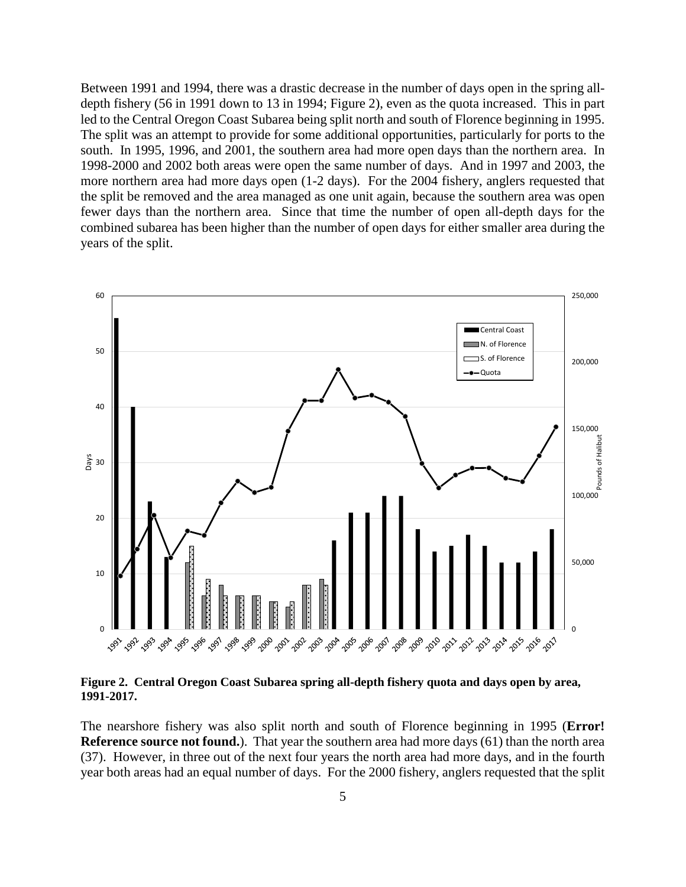Between 1991 and 1994, there was a drastic decrease in the number of days open in the spring alldepth fishery (56 in 1991 down to 13 in 1994; [Figure 2\)](#page-4-0), even as the quota increased. This in part led to the Central Oregon Coast Subarea being split north and south of Florence beginning in 1995. The split was an attempt to provide for some additional opportunities, particularly for ports to the south. In 1995, 1996, and 2001, the southern area had more open days than the northern area. In 1998-2000 and 2002 both areas were open the same number of days. And in 1997 and 2003, the more northern area had more days open (1-2 days). For the 2004 fishery, anglers requested that the split be removed and the area managed as one unit again, because the southern area was open fewer days than the northern area. Since that time the number of open all-depth days for the combined subarea has been higher than the number of open days for either smaller area during the years of the split.



<span id="page-4-0"></span>**Figure 2. Central Oregon Coast Subarea spring all-depth fishery quota and days open by area, 1991-2017.**

The nearshore fishery was also split north and south of Florence beginning in 1995 (**Error! Reference source not found.**). That year the southern area had more days (61) than the north area (37). However, in three out of the next four years the north area had more days, and in the fourth year both areas had an equal number of days. For the 2000 fishery, anglers requested that the split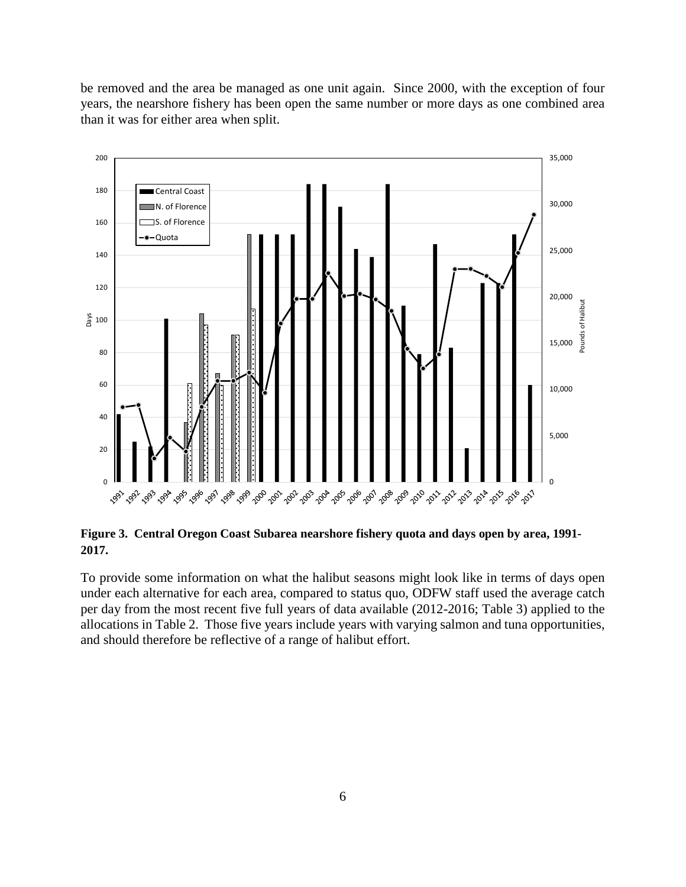be removed and the area be managed as one unit again. Since 2000, with the exception of four years, the nearshore fishery has been open the same number or more days as one combined area than it was for either area when split.



**Figure 3. Central Oregon Coast Subarea nearshore fishery quota and days open by area, 1991- 2017.**

To provide some information on what the halibut seasons might look like in terms of days open under each alternative for each area, compared to status quo, ODFW staff used the average catch per day from the most recent five full years of data available (2012-2016; [Table 3\)](#page-6-0) applied to the allocations in [Table 2.](#page-3-0) Those five years include years with varying salmon and tuna opportunities, and should therefore be reflective of a range of halibut effort.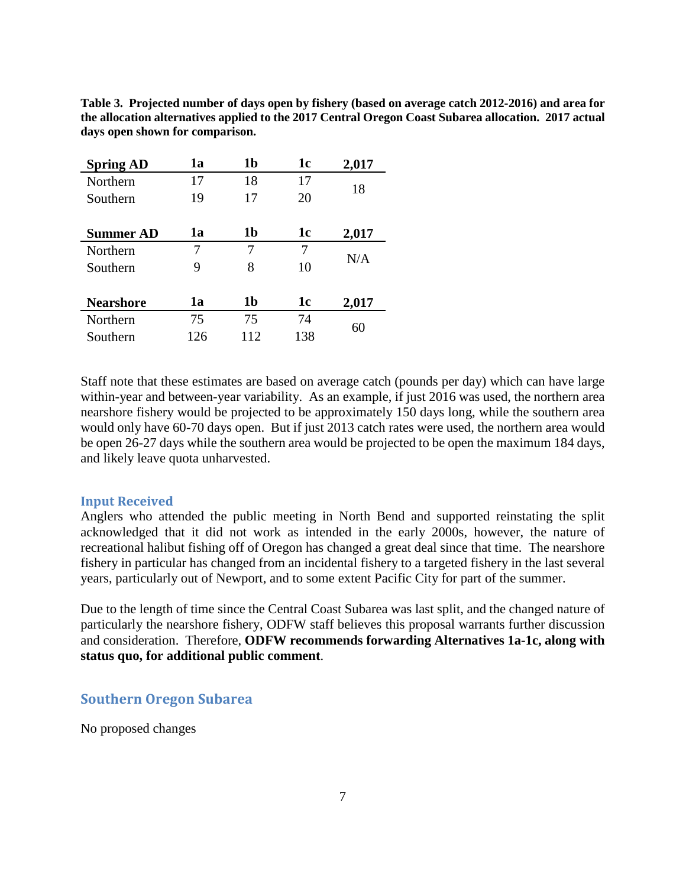| <b>Spring AD</b> | 1a  | 1 <sub>b</sub> | 1 <sub>c</sub> | 2,017 |
|------------------|-----|----------------|----------------|-------|
| Northern         | 17  | 18             | 17             | 18    |
| Southern         | 19  | 17             | 20             |       |
|                  |     |                |                |       |
| <b>Summer AD</b> | 1a  | 1 <sub>b</sub> | 1c             | 2,017 |
| Northern         | 7   | 7              | 7              |       |
| Southern         | 9   | 8              | 10             | N/A   |
|                  |     |                |                |       |
| <b>Nearshore</b> | 1a  | 1 <sub>b</sub> | 1c             | 2,017 |
| Northern         | 75  | 75             | 74             | 60    |
| Southern         | 126 | 112            | 138            |       |

<span id="page-6-0"></span>**Table 3. Projected number of days open by fishery (based on average catch 2012-2016) and area for the allocation alternatives applied to the 2017 Central Oregon Coast Subarea allocation. 2017 actual days open shown for comparison.** 

Staff note that these estimates are based on average catch (pounds per day) which can have large within-year and between-year variability. As an example, if just 2016 was used, the northern area nearshore fishery would be projected to be approximately 150 days long, while the southern area would only have 60-70 days open. But if just 2013 catch rates were used, the northern area would be open 26-27 days while the southern area would be projected to be open the maximum 184 days, and likely leave quota unharvested.

### **Input Received**

Anglers who attended the public meeting in North Bend and supported reinstating the split acknowledged that it did not work as intended in the early 2000s, however, the nature of recreational halibut fishing off of Oregon has changed a great deal since that time. The nearshore fishery in particular has changed from an incidental fishery to a targeted fishery in the last several years, particularly out of Newport, and to some extent Pacific City for part of the summer.

Due to the length of time since the Central Coast Subarea was last split, and the changed nature of particularly the nearshore fishery, ODFW staff believes this proposal warrants further discussion and consideration. Therefore, **ODFW recommends forwarding Alternatives 1a-1c, along with status quo, for additional public comment**.

## **Southern Oregon Subarea**

No proposed changes